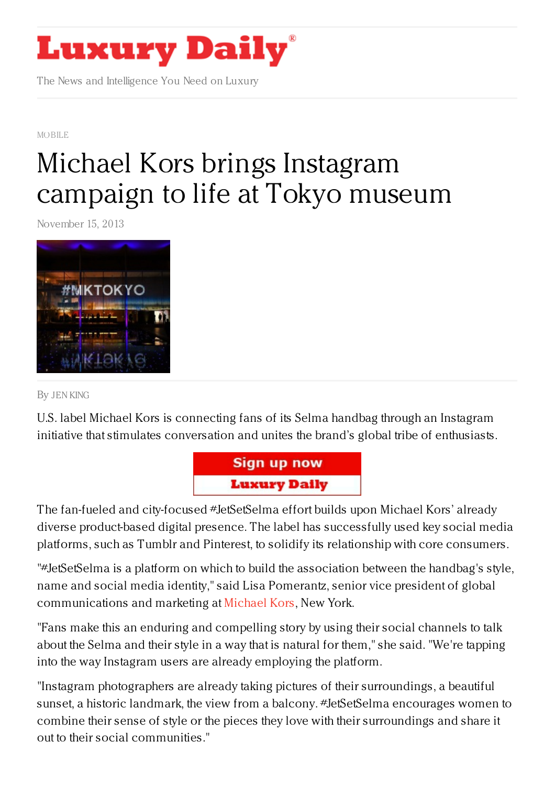

The News and Intelligence You Need on Luxury

[MOBILE](https://www.luxurydaily.com/category/news/mobile-news/)

## Michael Kors brings [Instagram](https://www.luxurydaily.com/michael-kors-brings-instagram-campaign-to-life-at-tokyo-museum/) campaign to life at Tokyo museum

November 15, 2013



By JEN [KING](/author/jen-king)

U.S. label Michael Kors is connecting fans of its Selma handbag through an Instagram initiative that stimulates conversation and unites the brand's global tribe of enthusiasts.



The fan-fueled and city-focused #JetSetSelma effort builds upon Michael Kors' already diverse product-based digital presence. The label has successfully used key social media platforms, such as Tumblr and Pinterest, to solidify its relationship with core consumers.

"#JetSetSelma is a platform on which to build the association between the handbag's style, name and social media identity," said Lisa Pomerantz, senior vice president of global communications and marketing at [Michael](http://www.michaelkors.com/) Kors, New York.

"Fans make this an enduring and compelling story by using their social channels to talk about the Selma and their style in a way that is natural for them," she said. "We're tapping into the way Instagram users are already employing the platform.

"Instagram photographers are already taking pictures of their surroundings, a beautiful sunset, a historic landmark, the view from a balcony. #JetSetSelma encourages women to combine their sense of style or the pieces they love with their surroundings and share it out to their social communities."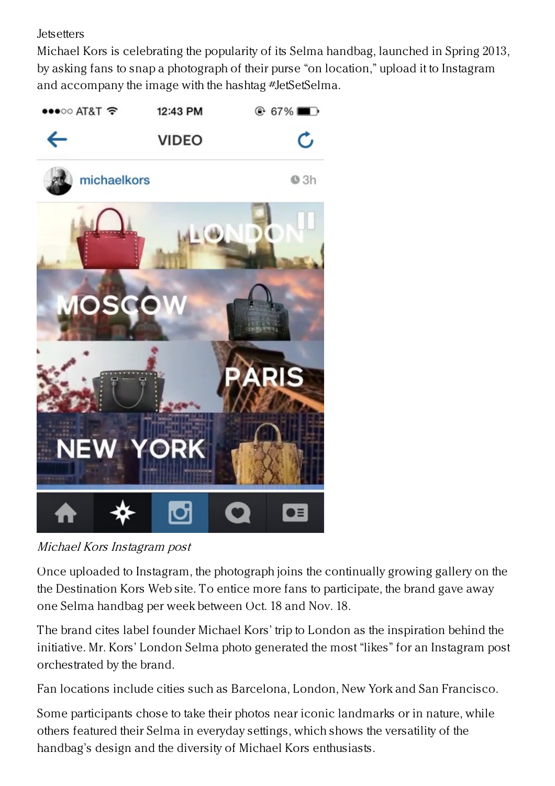**Jetsetters** 

Michael Kors is celebrating the popularity of its Selma handbag, launched in Spring 2013, by asking fans to snap a photograph of their purse "on location," upload it to Instagram and accompany the image with the hashtag #JetSetSelma.



Michael Kors Instagram post

Once uploaded to Instagram, the photograph joins the continually growing gallery on the the Destination Kors Web site. To entice more fans to participate, the brand gave away one Selma handbag per week between Oct. 18 and Nov. 18.

The brand cites label founder Michael Kors' trip to London as the inspiration behind the initiative. Mr. Kors' London Selma photo generated the most "likes" for an Instagram post orchestrated by the brand.

Fan locations include cities such as Barcelona, London, New York and San Francisco.

Some participants chose to take their photos near iconic landmarks or in nature, while others featured their Selma in everyday settings, which shows the versatility of the handbag's design and the diversity of Michael Kors enthusiasts.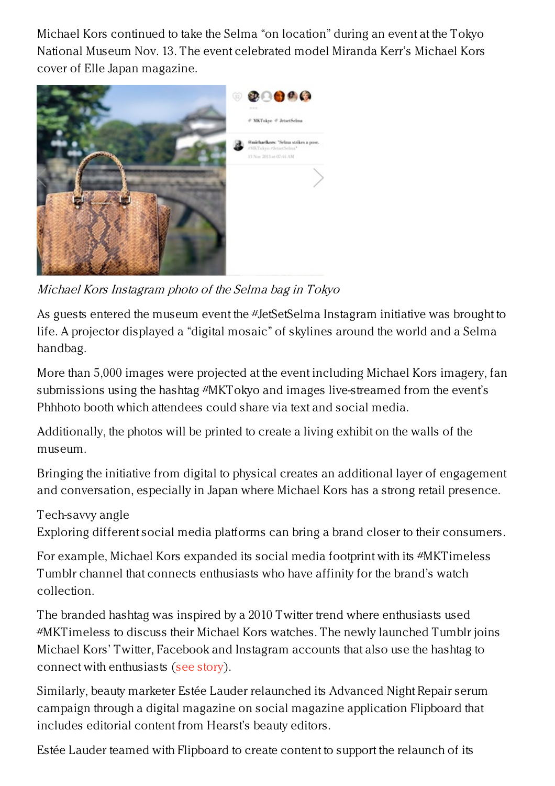Michael Kors continued to take the Selma "on location" during an event at the Tokyo National Museum Nov. 13. The event celebrated model Miranda Kerr's Michael Kors cover of Elle Japan magazine.



Michael Kors Instagram photo of the Selma bag in Tokyo

As guests entered the museum event the #JetSetSelma Instagram initiative was brought to life. A projector displayed a "digital mosaic" of skylines around the world and a Selma handbag.

More than 5,000 images were projected at the event including Michael Kors imagery, fan submissions using the hashtag #MKTokyo and images live-streamed from the event's Phhhoto booth which attendees could share via text and social media.

Additionally, the photos will be printed to create a living exhibit on the walls of the museum.

Bringing the initiative from digital to physical creates an additional layer of engagement and conversation, especially in Japan where Michael Kors has a strong retail presence.

## Tech-savvy angle

Exploring different social media platforms can bring a brand closer to their consumers.

For example, Michael Kors expanded its social media footprint with its #MKTimeless Tumblr channel that connects enthusiasts who have affinity for the brand's watch collection.

The branded hashtag was inspired by a 2010 Twitter trend where enthusiasts used #MKTimeless to discuss their Michael Kors watches. The newly launched Tumblr joins Michael Kors' Twitter, Facebook and Instagram accounts that also use the hashtag to connect with enthusiasts (see [story](https://www.luxurydaily.com/michael-kors-fosters-community-with-watch-focused-tumblr/)).

Similarly, beauty marketer Estée Lauder relaunched its Advanced Night Repair serum campaign through a digital magazine on social magazine application Flipboard that includes editorial content from Hearst's beauty editors.

Estée Lauder teamed with Flipboard to create content to support the relaunch of its